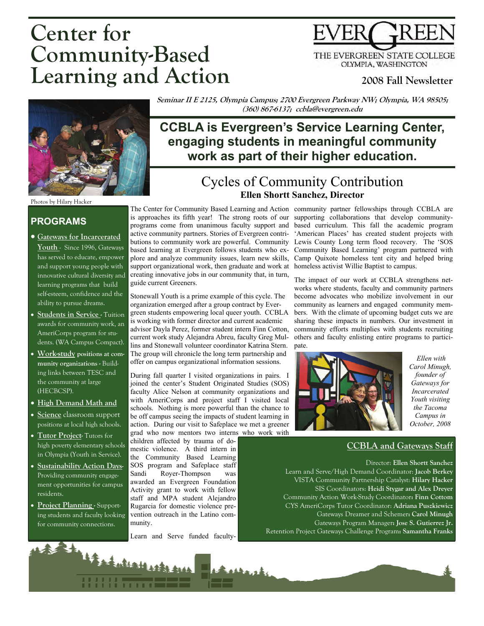# **Center for Community-Based Learning and Action**



#### **2008 Fall Newsletter**



Photos by Hilary Hacker

#### **PROGRAMS**

- **Gateways for Incarcerated Youth** - Since 1996, Gateways has served to educate, empower and support young people with innovative cultural diversity and learning programs that build self-esteem, confidence and the ability to pursue dreams.
- **Students in Service Tuition** awards for community work, an AmeriCorps program for students. (WA Campus Compact).
- **Work-study positions at community organizations -** Building links between TESC and the community at large (HECBCSP).
- **High Demand Math and**
- **Science** classroom support positions at local high schools.
- **Tutor Project-** Tutors for high poverty elementary schools in Olympia (Youth in Service).
- **Sustainability Action Days-**Providing community engagement opportunities for campus residents.
- **Project Planning** Supporting students and faculty looking for community connections.

is approaches its fifth year! The strong roots of our supporting collaborations that develop communitysupport organizational work, then graduate and work at homeless activist Willie Baptist to campus. creating innovative jobs in our community that, in turn, guide current Greeners.

Stonewall Youth is a prime example of this cycle. The organization emerged after a group contract by Evergreen students empowering local queer youth. CCBLA is working with former director and current academic advisor Dayla Perez, former student intern Finn Cotton, current work study Alejandra Abreu, faculty Greg Mullins and Stonewall volunteer coordinator Katrina Stern. The group will chronicle the long term partnership and offer on campus organizational information sessions.

During fall quarter I visited organizations in pairs. I joined the center's Student Originated Studies (SOS) faculty Alice Nelson at community organizations and with AmeriCorps and project staff I visited local schools. Nothing is more powerful than the chance to be off campus seeing the impacts of student learning in action. During our visit to Safeplace we met a greener grad who now mentors two interns who work with

**Latingh** 

children affected by trauma of domestic violence. A third intern in the Community Based Learning SOS program and Safeplace staff Sandi Royer-Thompson was awarded an Evergreen Foundation Activity grant to work with fellow staff and MPA student Alejandro Rugarcia for domestic violence prevention outreach in the Latino community.

Learn and Serve funded faculty-

The Center for Community Based Learning and Action community partner fellowships through CCBLA are programs come from unanimous faculty support and based curriculum. This fall the academic program active community partners. Stories of Evergreen contri-'American Places' has created student projects with butions to community work are powerful. Community Lewis County Long term flood recovery. The 'SOS based learning at Evergreen follows students who ex-Community Based Learning' program partnered with plore and analyze community issues, learn new skills, Camp Quixote homeless tent city and helped bring

> The impact of our work at CCBLA strengthens networks where students, faculty and community partners become advocates who mobilize involvement in our community as learners and engaged community members. With the climate of upcoming budget cuts we are sharing these impacts in numbers. Our investment in community efforts multiplies with students recruiting others and faculty enlisting entire programs to participate.



 *Ellen with Carol Minugh, founder of Gateways for Incarcerated Youth visiting the Tacoma Campus in October, 2008* 

#### **CCBLA and Gateways Staff**

Director: **Ellen Shortt Sanchez**  Learn and Serve/High Demand Coordinator: **Jacob Berkey**  VISTA Community Partnership Catalyst: **Hilary Hacker**  SIS Coordinators: **Heidi Stygar and Alex Dreyer**  Community Action Work-Study Coordinator**: Finn Cottom**  CYS AmeriCorps Tutor Coordinator: **Adriana Puszkiewicz**  Gateways Dreamer and Schemer**: Carol Minugh**  Gateways Program Manager**: Jose S. Gutierrez Jr.**  Retention Project Gateways Challenge Program**: Samantha Franks** 

Cycles of Community Contribution **Ellen Shortt Sanchez, Director work as part of their higher education.** 

# **CCBLA is Evergreen's Service Learning Center, engaging students in meaningful community**

**Seminar II E 2125, Olympia Campus; 2700 Evergreen Parkway NW; Olympia, WA 98505; (360) 867-6137; ccbla@evergreen.edu**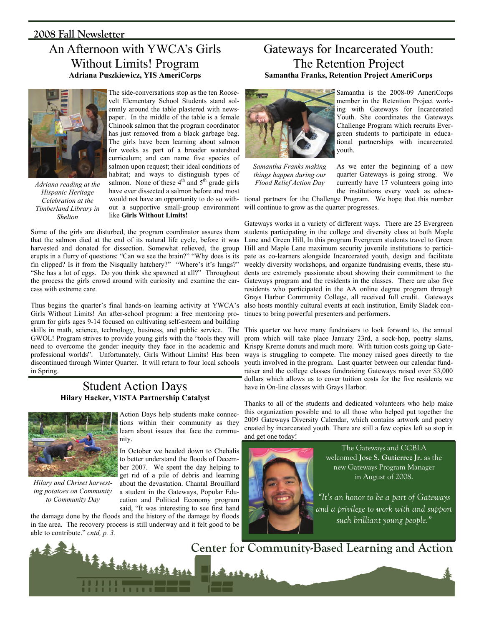#### **2008 Fall Newsletter**

## An Afternoon with YWCA's Girls Without Limits! Program **Adriana Puszkiewicz, YIS AmeriCorps**



*Adriana reading at the Hispanic Heritage Celebration at the Timberland Library in Shelton* 

The side-conversations stop as the ten Roosevelt Elementary School Students stand solemnly around the table plastered with newspaper. In the middle of the table is a female Chinook salmon that the program coordinator has just removed from a black garbage bag. The girls have been learning about salmon for weeks as part of a broader watershed curriculum; and can name five species of salmon upon request; their ideal conditions of habitat; and ways to distinguish types of salmon. None of these  $4<sup>th</sup>$  and  $5<sup>th</sup>$  grade girls have ever dissected a salmon before and most like **Girls Without Limits!**

Some of the girls are disturbed, the program coordinator assures them that the salmon died at the end of its natural life cycle, before it was harvested and donated for dissection. Somewhat relieved, the group erupts in a flurry of questions: "Can we see the brain?" "Why does is its fin clipped? Is it from the Nisqually hatchery?" "Where's it's lungs?" "She has a lot of eggs. Do you think she spawned at all?" Throughout the process the girls crowd around with curiosity and examine the carcass with extreme care.

Thus begins the quarter's final hands-on learning activity at YWCA's Girls Without Limits! An after-school program: a free mentoring program for girls ages 9-14 focused on cultivating self-esteem and building skills in math, science, technology, business, and public service. The GWOL! Program strives to provide young girls with the "tools they will need to overcome the gender inequity they face in the academic and professional worlds". Unfortunately, Girls Without Limits! Has been discontinued through Winter Quarter. It will return to four local schools in Spring.

#### Student Action Days **Hilary Hacker, VISTA Partnership Catalyst**



*Hilary and Chriset harvesting potatoes on Community to Community Day* 

Action Days help students make connections within their community as they learn about issues that face the community.

In October we headed down to Chehalis to better understand the floods of December 2007. We spent the day helping to get rid of a pile of debris and learning about the devastation. Chantal Brouillard a student in the Gateways, Popular Education and Political Economy program said, "It was interesting to see first hand

the damage done by the floods and the history of the damage by floods in the area. The recovery process is still underway and it felt good to be able to contribute." *cntd, p. 3.*

### Gateways for Incarcerated Youth: The Retention Project **Samantha Franks, Retention Project AmeriCorps**



Samantha is the 2008-09 AmeriCorps member in the Retention Project working with Gateways for Incarcerated Youth. She coordinates the Gateways Challenge Program which recruits Evergreen students to participate in educational partnerships with incarcerated youth.

*Samantha Franks making things happen during our Flood Relief Action Day* 

As we enter the beginning of a new quarter Gateways is going strong. We currently have 17 volunteers going into the institutions every week as educa-

would not have an opportunity to do so with-tional partners for the Challenge Program. We hope that this number out a supportive small-group environment will continue to grow as the quarter progresses.

> Gateways works in a variety of different ways. There are 25 Evergreen students participating in the college and diversity class at both Maple Lane and Green Hill, In this program Evergreen students travel to Green Hill and Maple Lane maximum security juvenile institutions to participate as co-learners alongside Incarcerated youth, design and facilitate weekly diversity workshops, and organize fundraising events, these students are extremely passionate about showing their commitment to the Gateways program and the residents in the classes. There are also five residents who participated in the AA online degree program through Grays Harbor Community College, all received full credit. Gateways also hosts monthly cultural events at each institution, Emily Sladek continues to bring powerful presenters and performers.

> This quarter we have many fundraisers to look forward to, the annual prom which will take place January 23rd, a sock-hop, poetry slams, Krispy Kreme donuts and much more. With tuition costs going up Gateways is struggling to compete. The money raised goes directly to the youth involved in the program. Last quarter between our calendar fundraiser and the college classes fundraising Gateways raised over \$3,000 dollars which allows us to cover tuition costs for the five residents we have in On-line classes with Grays Harbor.

> Thanks to all of the students and dedicated volunteers who help make this organization possible and to all those who helped put together the 2009 Gateways Diversity Calendar, which contains artwork and poetry created by incarcerated youth. There are still a few copies left so stop in and get one today!



The Gateways and CCBLA welcomed **Jose S. Gutierrez Jr.** as the new Gateways Program Manager in August of 2008.

*"It's an honor to be a part of Gateways and a privilege to work with and support such brilliant young people."* 

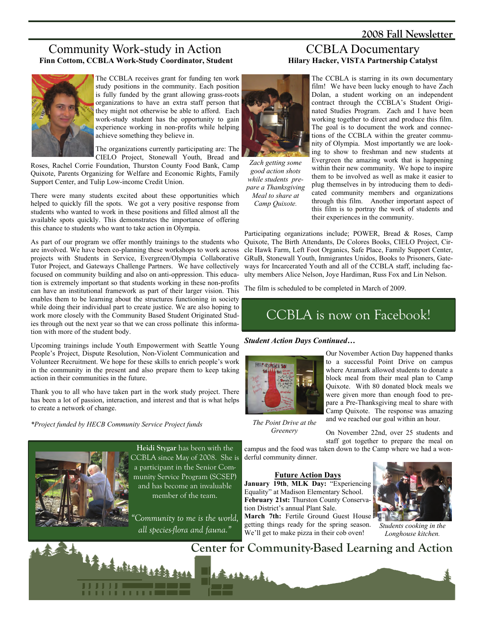#### **2008 Fall Newsletter**

#### Community Work-study in Action **Finn Cottom, CCBLA Work-Study Coordinator, Student**



The CCBLA receives grant for funding ten work study positions in the community. Each position is fully funded by the grant allowing grass-roots organizations to have an extra staff person that they might not otherwise be able to afford. Each work-study student has the opportunity to gain experience working in non-profits while helping achieve something they believe in.

The organizations currently participating are: The CIELO Project, Stonewall Youth, Bread and

Roses, Rachel Corrie Foundation, Thurston County Food Bank, Camp Quixote, Parents Organizing for Welfare and Economic Rights, Family Support Center, and Tulip Low-income Credit Union.

There were many students excited about these opportunities which helped to quickly fill the spots. We got a very positive response from students who wanted to work in these positions and filled almost all the available spots quickly. This demonstrates the importance of offering this chance to students who want to take action in Olympia.

As part of our program we offer monthly trainings to the students who are involved. We have been co-planning these workshops to work across projects with Students in Service, Evergreen/Olympia Collaborative Tutor Project, and Gateways Challenge Partners. We have collectively focused on community building and also on anti-oppression. This education is extremely important so that students working in these non-profits can have an institutional framework as part of their larger vision. This enables them to be learning about the structures functioning in society while doing their individual part to create justice. We are also hoping to work more closely with the Community Based Student Originated Studies through out the next year so that we can cross pollinate this information with more of the student body.

Upcoming trainings include Youth Empowerment with Seattle Young People's Project, Dispute Resolution, Non-Violent Communication and Volunteer Recruitment. We hope for these skills to enrich people's work in the community in the present and also prepare them to keep taking action in their communities in the future.

Thank you to all who have taken part in the work study project. There has been a lot of passion, interaction, and interest and that is what helps to create a network of change.

*\*Project funded by HECB Community Service Project funds* 



**Heidi Stygar** has been with the CCBLA since May of 2008. She is a participant in the Senior Community Service Program (SCSEP) and has become an invaluable member of the team.

*"Community to me is the world, all species-flora and fauna."* 



*Zach getting some good action shots while students prepare a Thanksgiving Meal to share at Camp Quixote.* 

#### CCBLA Documentary **Hilary Hacker, VISTA Partnership Catalyst**

The CCBLA is starring in its own documentary film! We have been lucky enough to have Zach Dolan, a student working on an independent contract through the CCBLA's Student Originated Studies Program. Zach and I have been working together to direct and produce this film. The goal is to document the work and connections of the CCBLA within the greater community of Olympia. Most importantly we are looking to show to freshman and new students at Evergreen the amazing work that is happening within their new community. We hope to inspire them to be involved as well as make it easier to plug themselves in by introducing them to dedicated community members and organizations through this film. Another important aspect of this film is to portray the work of students and their experiences in the community.

Participating organizations include; POWER, Bread & Roses, Camp Quixote, The Birth Attendants, De Colores Books, CIELO Project, Circle Hawk Farm, Left Foot Organics, Safe Place, Family Support Center, GRuB, Stonewall Youth, Inmigrantes Unidos, Books to Prisoners, Gateways for Incarcerated Youth and all of the CCBLA staff, including faculty members Alice Nelson, Joye Hardiman, Russ Fox and Lin Nelson.

The film is scheduled to be completed in March of 2009.

# CCBLA is now on Facebook!

#### *Student Action Days Continued…*



Our November Action Day happened thanks to a successful Point Drive on campus where Aramark allowed students to donate a block meal from their meal plan to Camp Quixote. With 80 donated block meals we were given more than enough food to prepare a Pre-Thanksgiving meal to share with Camp Quixote. The response was amazing and we reached our goal within an hour.

*The Point Drive at the Greenery* 

On November 22nd, over 25 students and staff got together to prepare the meal on

campus and the food was taken down to the Camp where we had a wonderful community dinner.

#### **Future Action Days**

**January 19th**, **MLK Day:** "Experiencing Equality" at Madison Elementary School. **February 21st:** Thurston County Conservation District's annual Plant Sale. March 7th: Fertile Ground Guest House getting things ready for the spring season. We'll get to make pizza in their cob oven!



*Students cooking in the Longhouse kitchen.*